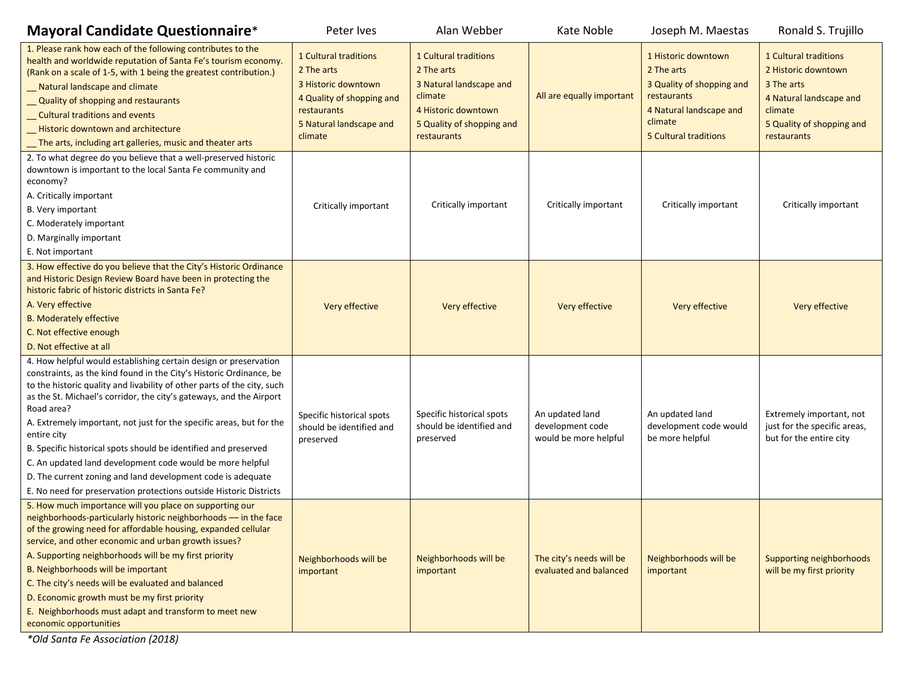| <b>Mayoral Candidate Questionnaire*</b>                                                                                                                                                                                                                                                                                                                                                                                                                                                                                                                                                                                                                             | Peter Ives                                                                                                                                   | Alan Webber                                                                                                                                  | Kate Noble                                                   | Joseph M. Maestas                                                                                                                                   | Ronald S. Trujillo                                                                                                                           |
|---------------------------------------------------------------------------------------------------------------------------------------------------------------------------------------------------------------------------------------------------------------------------------------------------------------------------------------------------------------------------------------------------------------------------------------------------------------------------------------------------------------------------------------------------------------------------------------------------------------------------------------------------------------------|----------------------------------------------------------------------------------------------------------------------------------------------|----------------------------------------------------------------------------------------------------------------------------------------------|--------------------------------------------------------------|-----------------------------------------------------------------------------------------------------------------------------------------------------|----------------------------------------------------------------------------------------------------------------------------------------------|
| 1. Please rank how each of the following contributes to the<br>health and worldwide reputation of Santa Fe's tourism economy.<br>(Rank on a scale of 1-5, with 1 being the greatest contribution.)<br>_ Natural landscape and climate<br>_ Quality of shopping and restaurants<br>_ Cultural traditions and events<br>_ Historic downtown and architecture<br>The arts, including art galleries, music and theater arts                                                                                                                                                                                                                                             | 1 Cultural traditions<br>2 The arts<br>3 Historic downtown<br>4 Quality of shopping and<br>restaurants<br>5 Natural landscape and<br>climate | 1 Cultural traditions<br>2 The arts<br>3 Natural landscape and<br>climate<br>4 Historic downtown<br>5 Quality of shopping and<br>restaurants | All are equally important                                    | 1 Historic downtown<br>2 The arts<br>3 Quality of shopping and<br>restaurants<br>4 Natural landscape and<br>climate<br><b>5 Cultural traditions</b> | 1 Cultural traditions<br>2 Historic downtown<br>3 The arts<br>4 Natural landscape and<br>climate<br>5 Quality of shopping and<br>restaurants |
| 2. To what degree do you believe that a well-preserved historic<br>downtown is important to the local Santa Fe community and<br>economy?<br>A. Critically important<br>B. Very important<br>C. Moderately important<br>D. Marginally important<br>E. Not important                                                                                                                                                                                                                                                                                                                                                                                                  | Critically important                                                                                                                         | Critically important                                                                                                                         | Critically important                                         | Critically important                                                                                                                                | Critically important                                                                                                                         |
| 3. How effective do you believe that the City's Historic Ordinance<br>and Historic Design Review Board have been in protecting the<br>historic fabric of historic districts in Santa Fe?<br>A. Very effective<br><b>B. Moderately effective</b><br>C. Not effective enough<br>D. Not effective at all                                                                                                                                                                                                                                                                                                                                                               | Very effective                                                                                                                               | Very effective                                                                                                                               | Very effective                                               | Very effective                                                                                                                                      | Very effective                                                                                                                               |
| 4. How helpful would establishing certain design or preservation<br>constraints, as the kind found in the City's Historic Ordinance, be<br>to the historic quality and livability of other parts of the city, such<br>as the St. Michael's corridor, the city's gateways, and the Airport<br>Road area?<br>A. Extremely important, not just for the specific areas, but for the<br>entire city<br>B. Specific historical spots should be identified and preserved<br>C. An updated land development code would be more helpful<br>D. The current zoning and land development code is adequate<br>E. No need for preservation protections outside Historic Districts | Specific historical spots<br>should be identified and<br>preserved                                                                           | Specific historical spots<br>should be identified and<br>preserved                                                                           | An updated land<br>development code<br>would be more helpful | An updated land<br>development code would<br>be more helpful                                                                                        | Extremely important, not<br>just for the specific areas,<br>but for the entire city                                                          |
| 5. How much importance will you place on supporting our<br>neighborhoods-particularly historic neighborhoods - in the face<br>of the growing need for affordable housing, expanded cellular<br>service, and other economic and urban growth issues?<br>A. Supporting neighborhoods will be my first priority<br>B. Neighborhoods will be important<br>C. The city's needs will be evaluated and balanced<br>D. Economic growth must be my first priority<br>E. Neighborhoods must adapt and transform to meet new<br>economic opportunities                                                                                                                         | Neighborhoods will be<br>important                                                                                                           | Neighborhoods will be<br>important                                                                                                           | The city's needs will be<br>evaluated and balanced           | Neighborhoods will be<br>important                                                                                                                  | Supporting neighborhoods<br>will be my first priority                                                                                        |

*\*Old Santa Fe Association (2018)*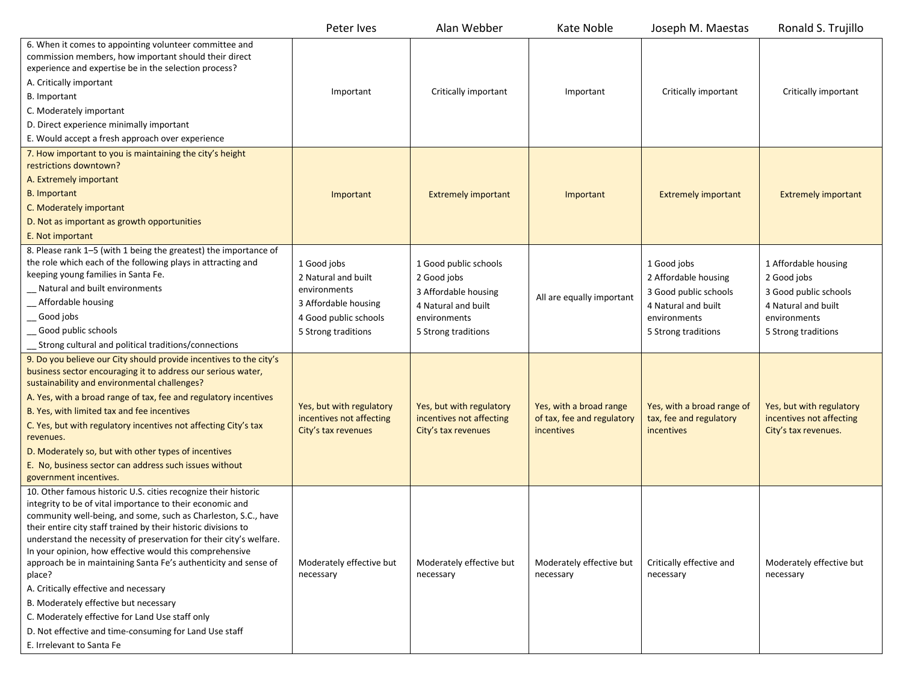|                                                                                                                                                                                                                                                                                                                                                                                                                                                                                                                                                                                                                                                                                                           | Peter Ives                                                                                                                 | Alan Webber                                                                                                                | Kate Noble                                                          | Joseph M. Maestas                                                                                                          | Ronald S. Trujillo                                                                                                         |
|-----------------------------------------------------------------------------------------------------------------------------------------------------------------------------------------------------------------------------------------------------------------------------------------------------------------------------------------------------------------------------------------------------------------------------------------------------------------------------------------------------------------------------------------------------------------------------------------------------------------------------------------------------------------------------------------------------------|----------------------------------------------------------------------------------------------------------------------------|----------------------------------------------------------------------------------------------------------------------------|---------------------------------------------------------------------|----------------------------------------------------------------------------------------------------------------------------|----------------------------------------------------------------------------------------------------------------------------|
| 6. When it comes to appointing volunteer committee and<br>commission members, how important should their direct<br>experience and expertise be in the selection process?<br>A. Critically important<br><b>B.</b> Important<br>C. Moderately important<br>D. Direct experience minimally important<br>E. Would accept a fresh approach over experience                                                                                                                                                                                                                                                                                                                                                     | Important                                                                                                                  | Critically important                                                                                                       | Important                                                           | Critically important                                                                                                       | Critically important                                                                                                       |
| 7. How important to you is maintaining the city's height<br>restrictions downtown?<br>A. Extremely important<br><b>B.</b> Important<br>C. Moderately important<br>D. Not as important as growth opportunities<br>E. Not important                                                                                                                                                                                                                                                                                                                                                                                                                                                                         | Important                                                                                                                  | <b>Extremely important</b>                                                                                                 | Important                                                           | <b>Extremely important</b>                                                                                                 | <b>Extremely important</b>                                                                                                 |
| 8. Please rank 1-5 (with 1 being the greatest) the importance of<br>the role which each of the following plays in attracting and<br>keeping young families in Santa Fe.<br>Natural and built environments<br>_ Affordable housing<br>_Good jobs<br>Good public schools<br>_ Strong cultural and political traditions/connections                                                                                                                                                                                                                                                                                                                                                                          | 1 Good jobs<br>2 Natural and built<br>environments<br>3 Affordable housing<br>4 Good public schools<br>5 Strong traditions | 1 Good public schools<br>2 Good jobs<br>3 Affordable housing<br>4 Natural and built<br>environments<br>5 Strong traditions | All are equally important                                           | 1 Good jobs<br>2 Affordable housing<br>3 Good public schools<br>4 Natural and built<br>environments<br>5 Strong traditions | 1 Affordable housing<br>2 Good jobs<br>3 Good public schools<br>4 Natural and built<br>environments<br>5 Strong traditions |
| 9. Do you believe our City should provide incentives to the city's<br>business sector encouraging it to address our serious water,<br>sustainability and environmental challenges?<br>A. Yes, with a broad range of tax, fee and regulatory incentives<br>B. Yes, with limited tax and fee incentives<br>C. Yes, but with regulatory incentives not affecting City's tax<br>revenues.<br>D. Moderately so, but with other types of incentives<br>E. No, business sector can address such issues without<br>government incentives.                                                                                                                                                                         | Yes, but with regulatory<br>incentives not affecting<br>City's tax revenues                                                | Yes, but with regulatory<br>incentives not affecting<br>City's tax revenues                                                | Yes, with a broad range<br>of tax, fee and regulatory<br>incentives | Yes, with a broad range of<br>tax, fee and regulatory<br><i>incentives</i>                                                 | Yes, but with regulatory<br>incentives not affecting<br>City's tax revenues.                                               |
| 10. Other famous historic U.S. cities recognize their historic<br>integrity to be of vital importance to their economic and<br>community well-being, and some, such as Charleston, S.C., have<br>their entire city staff trained by their historic divisions to<br>understand the necessity of preservation for their city's welfare.<br>In your opinion, how effective would this comprehensive<br>approach be in maintaining Santa Fe's authenticity and sense of<br>place?<br>A. Critically effective and necessary<br>B. Moderately effective but necessary<br>C. Moderately effective for Land Use staff only<br>D. Not effective and time-consuming for Land Use staff<br>E. Irrelevant to Santa Fe | Moderately effective but<br>necessary                                                                                      | Moderately effective but<br>necessary                                                                                      | Moderately effective but<br>necessary                               | Critically effective and<br>necessary                                                                                      | Moderately effective but<br>necessary                                                                                      |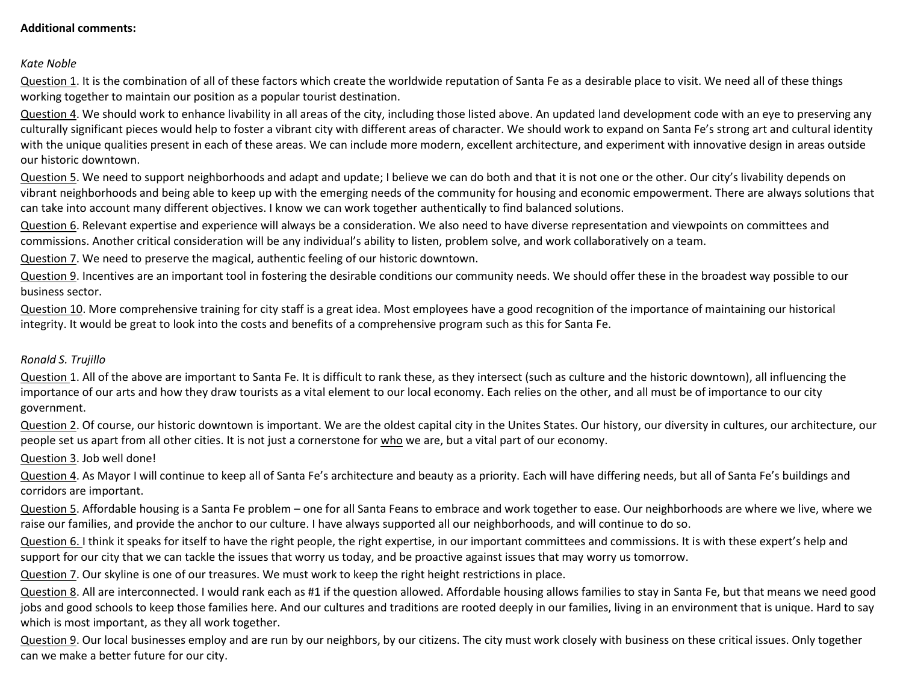## **Additional comments:**

## *Kate Noble*

Question 1. It is the combination of all of these factors which create the worldwide reputation of Santa Fe as a desirable place to visit. We need all of these things working together to maintain our position as a popular tourist destination.

Question 4. We should work to enhance livability in all areas of the city, including those listed above. An updated land development code with an eye to preserving any culturally significant pieces would help to foster a vibrant city with different areas of character. We should work to expand on Santa Fe's strong art and cultural identity with the unique qualities present in each of these areas. We can include more modern, excellent architecture, and experiment with innovative design in areas outside our historic downtown.

Question 5. We need to support neighborhoods and adapt and update; I believe we can do both and that it is not one or the other. Our city's livability depends on vibrant neighborhoods and being able to keep up with the emerging needs of the community for housing and economic empowerment. There are always solutions that can take into account many different objectives. I know we can work together authentically to find balanced solutions.

Question 6. Relevant expertise and experience will always be a consideration. We also need to have diverse representation and viewpoints on committees and commissions. Another critical consideration will be any individual's ability to listen, problem solve, and work collaboratively on a team.

Question 7. We need to preserve the magical, authentic feeling of our historic downtown.

Question 9. Incentives are an important tool in fostering the desirable conditions our community needs. We should offer these in the broadest way possible to our business sector.

Question 10. More comprehensive training for city staff is a great idea. Most employees have a good recognition of the importance of maintaining our historical integrity. It would be great to look into the costs and benefits of a comprehensive program such as this for Santa Fe.

## *Ronald S. Trujillo*

Question 1. All of the above are important to Santa Fe. It is difficult to rank these, as they intersect (such as culture and the historic downtown), all influencing the importance of our arts and how they draw tourists as a vital element to our local economy. Each relies on the other, and all must be of importance to our city government.

Question 2. Of course, our historic downtown is important. We are the oldest capital city in the Unites States. Our history, our diversity in cultures, our architecture, our people set us apart from all other cities. It is not just a cornerstone for who we are, but a vital part of our economy.

Question 3. Job well done!

Question 4. As Mayor I will continue to keep all of Santa Fe's architecture and beauty as a priority. Each will have differing needs, but all of Santa Fe's buildings and corridors are important.

Question 5. Affordable housing is a Santa Fe problem – one for all Santa Feans to embrace and work together to ease. Our neighborhoods are where we live, where we raise our families, and provide the anchor to our culture. I have always supported all our neighborhoods, and will continue to do so.

Question 6. I think it speaks for itself to have the right people, the right expertise, in our important committees and commissions. It is with these expert's help and support for our city that we can tackle the issues that worry us today, and be proactive against issues that may worry us tomorrow.

Question 7. Our skyline is one of our treasures. We must work to keep the right height restrictions in place.

Question 8. All are interconnected. I would rank each as #1 if the question allowed. Affordable housing allows families to stay in Santa Fe, but that means we need good jobs and good schools to keep those families here. And our cultures and traditions are rooted deeply in our families, living in an environment that is unique. Hard to say which is most important, as they all work together.

Question 9. Our local businesses employ and are run by our neighbors, by our citizens. The city must work closely with business on these critical issues. Only together can we make a better future for our city.